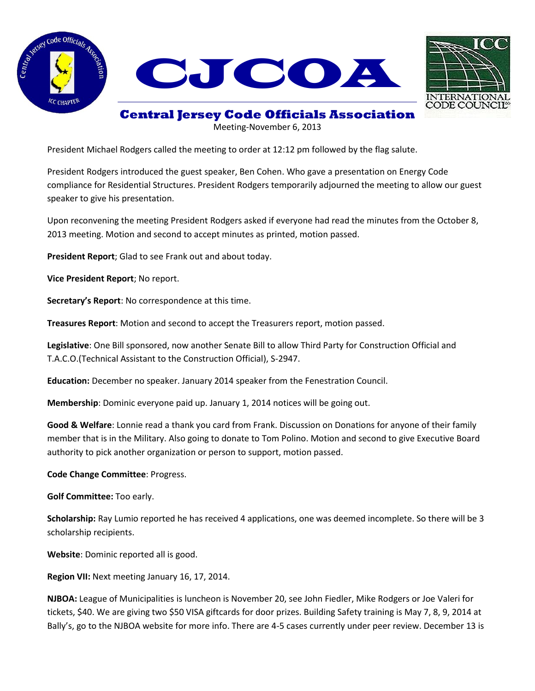





**Central Jersey Code Officials Association**

Meeting-November 6, 2013

President Michael Rodgers called the meeting to order at 12:12 pm followed by the flag salute.

President Rodgers introduced the guest speaker, Ben Cohen. Who gave a presentation on Energy Code compliance for Residential Structures. President Rodgers temporarily adjourned the meeting to allow our guest speaker to give his presentation.

Upon reconvening the meeting President Rodgers asked if everyone had read the minutes from the October 8, 2013 meeting. Motion and second to accept minutes as printed, motion passed.

**President Report**; Glad to see Frank out and about today.

**Vice President Report**; No report.

**Secretary's Report**: No correspondence at this time.

**Treasures Report**: Motion and second to accept the Treasurers report, motion passed.

**Legislative**: One Bill sponsored, now another Senate Bill to allow Third Party for Construction Official and T.A.C.O.(Technical Assistant to the Construction Official), S-2947.

**Education:** December no speaker. January 2014 speaker from the Fenestration Council.

**Membership**: Dominic everyone paid up. January 1, 2014 notices will be going out.

**Good & Welfare**: Lonnie read a thank you card from Frank. Discussion on Donations for anyone of their family member that is in the Military. Also going to donate to Tom Polino. Motion and second to give Executive Board authority to pick another organization or person to support, motion passed.

**Code Change Committee**: Progress.

**Golf Committee:** Too early.

**Scholarship:** Ray Lumio reported he has received 4 applications, one was deemed incomplete. So there will be 3 scholarship recipients.

**Website**: Dominic reported all is good.

**Region VII:** Next meeting January 16, 17, 2014.

**NJBOA:** League of Municipalities is luncheon is November 20, see John Fiedler, Mike Rodgers or Joe Valeri for tickets, \$40. We are giving two \$50 VISA giftcards for door prizes. Building Safety training is May 7, 8, 9, 2014 at Bally's, go to the NJBOA website for more info. There are 4-5 cases currently under peer review. December 13 is